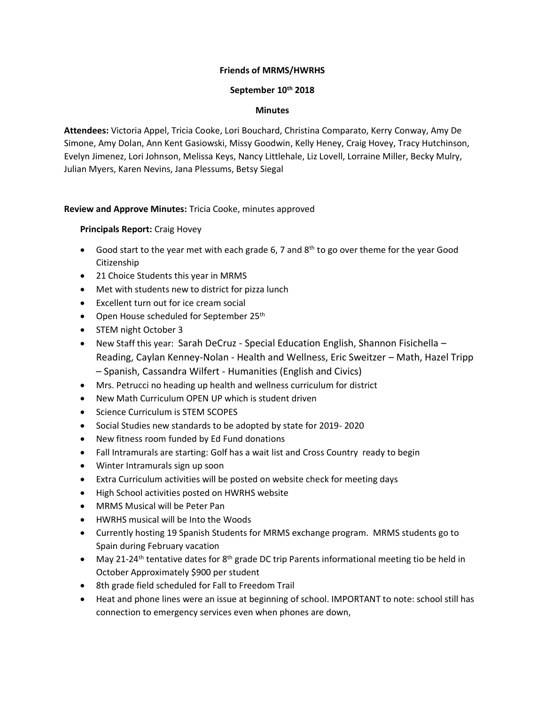# **Friends of MRMS/HWRHS**

#### **September 10th 2018**

### **Minutes**

**Attendees:** Victoria Appel, Tricia Cooke, Lori Bouchard, Christina Comparato, Kerry Conway, Amy De Simone, Amy Dolan, Ann Kent Gasiowski, Missy Goodwin, Kelly Heney, Craig Hovey, Tracy Hutchinson, Evelyn Jimenez, Lori Johnson, Melissa Keys, Nancy Littlehale, Liz Lovell, Lorraine Miller, Becky Mulry, Julian Myers, Karen Nevins, Jana Plessums, Betsy Siegal

# **Review and Approve Minutes:** Tricia Cooke, minutes approved

# **Principals Report:** Craig Hovey

- Good start to the year met with each grade 6, 7 and  $8<sup>th</sup>$  to go over theme for the year Good Citizenship
- 21 Choice Students this year in MRMS
- Met with students new to district for pizza lunch
- Excellent turn out for ice cream social
- Open House scheduled for September 25<sup>th</sup>
- STEM night October 3
- New Staff this year: Sarah DeCruz Special Education English, Shannon Fisichella Reading, Caylan Kenney-Nolan - Health and Wellness, Eric Sweitzer – Math, Hazel Tripp – Spanish, Cassandra Wilfert - Humanities (English and Civics)
- Mrs. Petrucci no heading up health and wellness curriculum for district
- New Math Curriculum OPEN UP which is student driven
- Science Curriculum is STEM SCOPES
- Social Studies new standards to be adopted by state for 2019- 2020
- New fitness room funded by Ed Fund donations
- Fall Intramurals are starting: Golf has a wait list and Cross Country ready to begin
- Winter Intramurals sign up soon
- Extra Curriculum activities will be posted on website check for meeting days
- High School activities posted on HWRHS website
- MRMS Musical will be Peter Pan
- HWRHS musical will be Into the Woods
- Currently hosting 19 Spanish Students for MRMS exchange program. MRMS students go to Spain during February vacation
- May 21-24<sup>th</sup> tentative dates for 8<sup>th</sup> grade DC trip Parents informational meeting tio be held in October Approximately \$900 per student
- 8th grade field scheduled for Fall to Freedom Trail
- Heat and phone lines were an issue at beginning of school. IMPORTANT to note: school still has connection to emergency services even when phones are down,